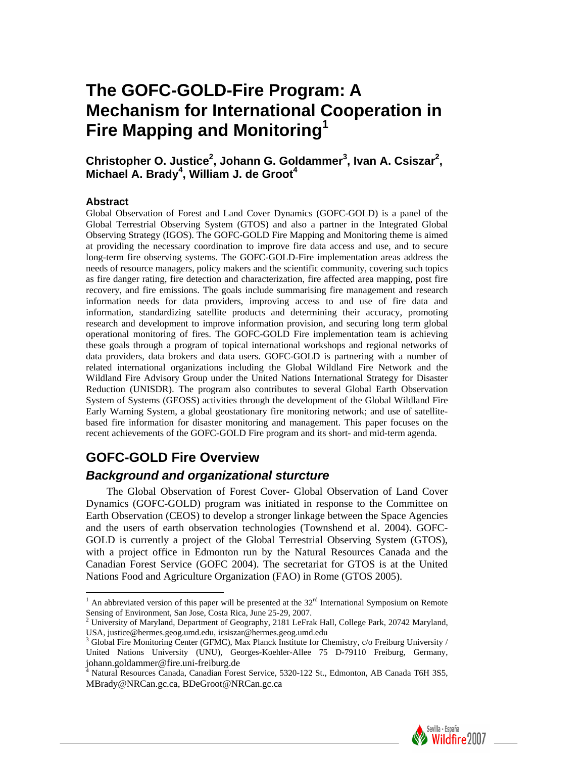# **The GOFC-GOLD-Fire Program: A Mechanism for International Cooperation in Fire Mapping and Monitoring1**

Christopher O. Justice<sup>2</sup>, Johann G. Goldammer<sup>3</sup>, Ivan A. Csiszar<sup>2</sup>, Michael A. Brady<sup>4</sup>, William J. de Groot<sup>4</sup>

#### **Abstract**

 $\overline{a}$ 

Global Observation of Forest and Land Cover Dynamics (GOFC-GOLD) is a panel of the Global Terrestrial Observing System (GTOS) and also a partner in the Integrated Global Observing Strategy (IGOS). The GOFC-GOLD Fire Mapping and Monitoring theme is aimed at providing the necessary coordination to improve fire data access and use, and to secure long-term fire observing systems. The GOFC-GOLD-Fire implementation areas address the needs of resource managers, policy makers and the scientific community, covering such topics as fire danger rating, fire detection and characterization, fire affected area mapping, post fire recovery, and fire emissions. The goals include summarising fire management and research information needs for data providers, improving access to and use of fire data and information, standardizing satellite products and determining their accuracy, promoting research and development to improve information provision, and securing long term global operational monitoring of fires. The GOFC-GOLD Fire implementation team is achieving these goals through a program of topical international workshops and regional networks of data providers, data brokers and data users. GOFC-GOLD is partnering with a number of related international organizations including the Global Wildland Fire Network and the Wildland Fire Advisory Group under the United Nations International Strategy for Disaster Reduction (UNISDR). The program also contributes to several Global Earth Observation System of Systems (GEOSS) activities through the development of the Global Wildland Fire Early Warning System, a global geostationary fire monitoring network; and use of satellitebased fire information for disaster monitoring and management. This paper focuses on the recent achievements of the GOFC-GOLD Fire program and its short- and mid-term agenda.

## **GOFC-GOLD Fire Overview**

#### *Background and organizational sturcture*

The Global Observation of Forest Cover- Global Observation of Land Cover Dynamics (GOFC-GOLD) program was initiated in response to the Committee on Earth Observation (CEOS) to develop a stronger linkage between the Space Agencies and the users of earth observation technologies (Townshend et al. 2004). GOFC-GOLD is currently a project of the Global Terrestrial Observing System (GTOS), with a project office in Edmonton run by the Natural Resources Canada and the Canadian Forest Service (GOFC 2004). The secretariat for GTOS is at the United Nations Food and Agriculture Organization (FAO) in Rome (GTOS 2005).

<sup>4</sup> Natural Resources Canada, Canadian Forest Service, 5320-122 St., Edmonton, AB Canada T6H 3S5, MBrady@NRCan.gc.ca, BDeGroot@NRCan.gc.ca



<sup>&</sup>lt;sup>1</sup> An abbreviated version of this paper will be presented at the  $32<sup>rd</sup>$  International Symposium on Remote Sensing of Environment, San Jose, Costa Rica, June 25-29, 2007.<br><sup>2</sup> University of Maryland, Department of Geography, 2181 LeFrak Hall, College Park, 20742 Maryland,

USA, justice@hermes.geog.umd.edu, icsiszar@hermes.geog.umd.edu 3

 $3$  Global Fire Monitoring Center (GFMC), Max Planck Institute for Chemistry,  $c/0$  Freiburg University / United Nations University (UNU), Georges-Koehler-Allee 75 D-79110 Freiburg, Germany, johann.goldammer@fire.uni-freiburg.de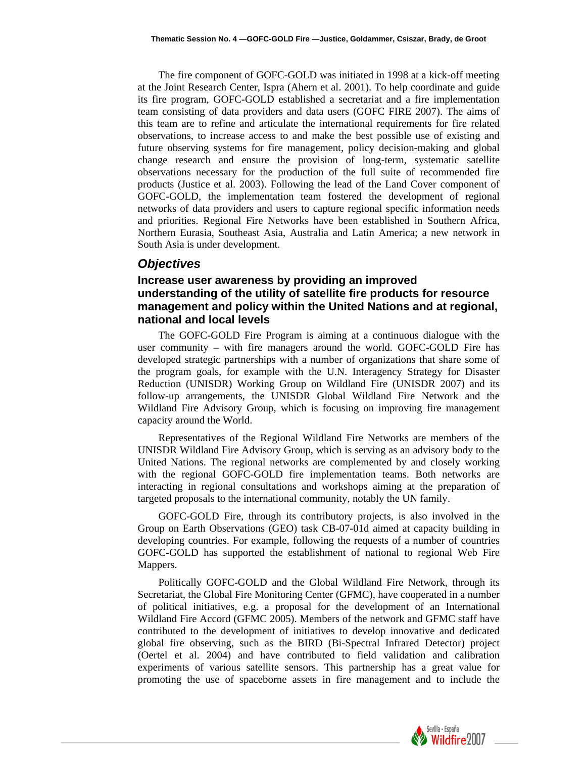The fire component of GOFC-GOLD was initiated in 1998 at a kick-off meeting at the Joint Research Center, Ispra (Ahern et al. 2001). To help coordinate and guide its fire program, GOFC-GOLD established a secretariat and a fire implementation team consisting of data providers and data users (GOFC FIRE 2007). The aims of this team are to refine and articulate the international requirements for fire related observations, to increase access to and make the best possible use of existing and future observing systems for fire management, policy decision-making and global change research and ensure the provision of long-term, systematic satellite observations necessary for the production of the full suite of recommended fire products (Justice et al. 2003). Following the lead of the Land Cover component of GOFC-GOLD, the implementation team fostered the development of regional networks of data providers and users to capture regional specific information needs and priorities. Regional Fire Networks have been established in Southern Africa, Northern Eurasia, Southeast Asia, Australia and Latin America; a new network in South Asia is under development.

#### *Objectives*

#### **Increase user awareness by providing an improved understanding of the utility of satellite fire products for resource management and policy within the United Nations and at regional, national and local levels**

The GOFC-GOLD Fire Program is aiming at a continuous dialogue with the user community – with fire managers around the world. GOFC-GOLD Fire has developed strategic partnerships with a number of organizations that share some of the program goals, for example with the U.N. Interagency Strategy for Disaster Reduction (UNISDR) Working Group on Wildland Fire (UNISDR 2007) and its follow-up arrangements, the UNISDR Global Wildland Fire Network and the Wildland Fire Advisory Group, which is focusing on improving fire management capacity around the World.

Representatives of the Regional Wildland Fire Networks are members of the UNISDR Wildland Fire Advisory Group, which is serving as an advisory body to the United Nations. The regional networks are complemented by and closely working with the regional GOFC-GOLD fire implementation teams. Both networks are interacting in regional consultations and workshops aiming at the preparation of targeted proposals to the international community, notably the UN family.

GOFC-GOLD Fire, through its contributory projects, is also involved in the Group on Earth Observations (GEO) task CB-07-01d aimed at capacity building in developing countries. For example, following the requests of a number of countries GOFC-GOLD has supported the establishment of national to regional Web Fire Mappers.

Politically GOFC-GOLD and the Global Wildland Fire Network, through its Secretariat, the Global Fire Monitoring Center (GFMC), have cooperated in a number of political initiatives, e.g. a proposal for the development of an International Wildland Fire Accord (GFMC 2005). Members of the network and GFMC staff have contributed to the development of initiatives to develop innovative and dedicated global fire observing, such as the BIRD (Bi-Spectral Infrared Detector) project (Oertel et al. 2004) and have contributed to field validation and calibration experiments of various satellite sensors. This partnership has a great value for promoting the use of spaceborne assets in fire management and to include the

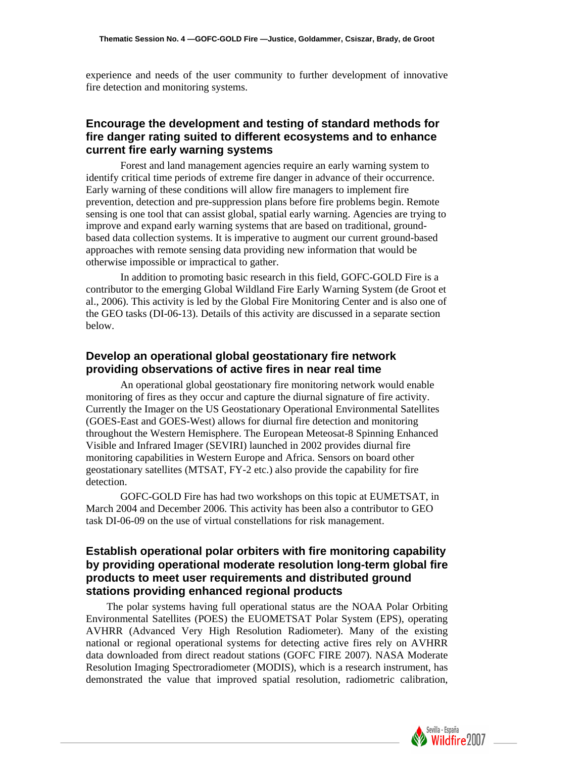experience and needs of the user community to further development of innovative fire detection and monitoring systems.

#### **Encourage the development and testing of standard methods for fire danger rating suited to different ecosystems and to enhance current fire early warning systems**

 Forest and land management agencies require an early warning system to identify critical time periods of extreme fire danger in advance of their occurrence. Early warning of these conditions will allow fire managers to implement fire prevention, detection and pre-suppression plans before fire problems begin. Remote sensing is one tool that can assist global, spatial early warning. Agencies are trying to improve and expand early warning systems that are based on traditional, groundbased data collection systems. It is imperative to augment our current ground-based approaches with remote sensing data providing new information that would be otherwise impossible or impractical to gather.

 In addition to promoting basic research in this field, GOFC-GOLD Fire is a contributor to the emerging Global Wildland Fire Early Warning System (de Groot et al., 2006). This activity is led by the Global Fire Monitoring Center and is also one of the GEO tasks (DI-06-13). Details of this activity are discussed in a separate section below.

#### **Develop an operational global geostationary fire network providing observations of active fires in near real time**

 An operational global geostationary fire monitoring network would enable monitoring of fires as they occur and capture the diurnal signature of fire activity. Currently the Imager on the US Geostationary Operational Environmental Satellites (GOES-East and GOES-West) allows for diurnal fire detection and monitoring throughout the Western Hemisphere. The European Meteosat-8 Spinning Enhanced Visible and Infrared Imager (SEVIRI) launched in 2002 provides diurnal fire monitoring capabilities in Western Europe and Africa. Sensors on board other geostationary satellites (MTSAT, FY-2 etc.) also provide the capability for fire detection.

 GOFC-GOLD Fire has had two workshops on this topic at EUMETSAT, in March 2004 and December 2006. This activity has been also a contributor to GEO task DI-06-09 on the use of virtual constellations for risk management.

#### **Establish operational polar orbiters with fire monitoring capability by providing operational moderate resolution long-term global fire products to meet user requirements and distributed ground stations providing enhanced regional products**

The polar systems having full operational status are the NOAA Polar Orbiting Environmental Satellites (POES) the EUOMETSAT Polar System (EPS), operating AVHRR (Advanced Very High Resolution Radiometer). Many of the existing national or regional operational systems for detecting active fires rely on AVHRR data downloaded from direct readout stations (GOFC FIRE 2007). NASA Moderate Resolution Imaging Spectroradiometer (MODIS), which is a research instrument, has demonstrated the value that improved spatial resolution, radiometric calibration,

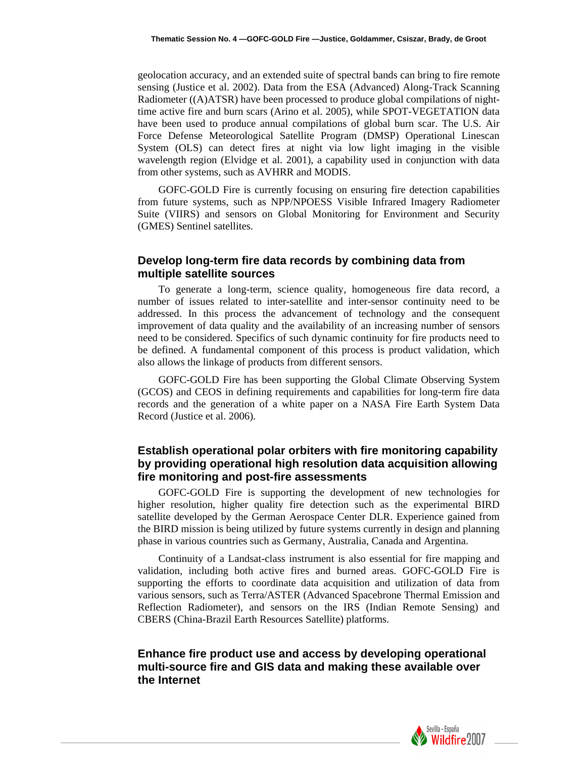geolocation accuracy, and an extended suite of spectral bands can bring to fire remote sensing (Justice et al. 2002). Data from the ESA (Advanced) Along-Track Scanning Radiometer ((A)ATSR) have been processed to produce global compilations of nighttime active fire and burn scars (Arino et al. 2005), while SPOT-VEGETATION data have been used to produce annual compilations of global burn scar. The U.S. Air Force Defense Meteorological Satellite Program (DMSP) Operational Linescan System (OLS) can detect fires at night via low light imaging in the visible wavelength region (Elvidge et al. 2001), a capability used in conjunction with data from other systems, such as AVHRR and MODIS.

GOFC-GOLD Fire is currently focusing on ensuring fire detection capabilities from future systems, such as NPP/NPOESS Visible Infrared Imagery Radiometer Suite (VIIRS) and sensors on Global Monitoring for Environment and Security (GMES) Sentinel satellites.

#### **Develop long-term fire data records by combining data from multiple satellite sources**

To generate a long-term, science quality, homogeneous fire data record, a number of issues related to inter-satellite and inter-sensor continuity need to be addressed. In this process the advancement of technology and the consequent improvement of data quality and the availability of an increasing number of sensors need to be considered. Specifics of such dynamic continuity for fire products need to be defined. A fundamental component of this process is product validation, which also allows the linkage of products from different sensors.

GOFC-GOLD Fire has been supporting the Global Climate Observing System (GCOS) and CEOS in defining requirements and capabilities for long-term fire data records and the generation of a white paper on a NASA Fire Earth System Data Record (Justice et al. 2006).

#### **Establish operational polar orbiters with fire monitoring capability by providing operational high resolution data acquisition allowing fire monitoring and post-fire assessments**

GOFC-GOLD Fire is supporting the development of new technologies for higher resolution, higher quality fire detection such as the experimental BIRD satellite developed by the German Aerospace Center DLR. Experience gained from the BIRD mission is being utilized by future systems currently in design and planning phase in various countries such as Germany, Australia, Canada and Argentina.

Continuity of a Landsat-class instrument is also essential for fire mapping and validation, including both active fires and burned areas. GOFC-GOLD Fire is supporting the efforts to coordinate data acquisition and utilization of data from various sensors, such as Terra/ASTER (Advanced Spacebrone Thermal Emission and Reflection Radiometer), and sensors on the IRS (Indian Remote Sensing) and CBERS (China-Brazil Earth Resources Satellite) platforms.

### **Enhance fire product use and access by developing operational multi-source fire and GIS data and making these available over the Internet**

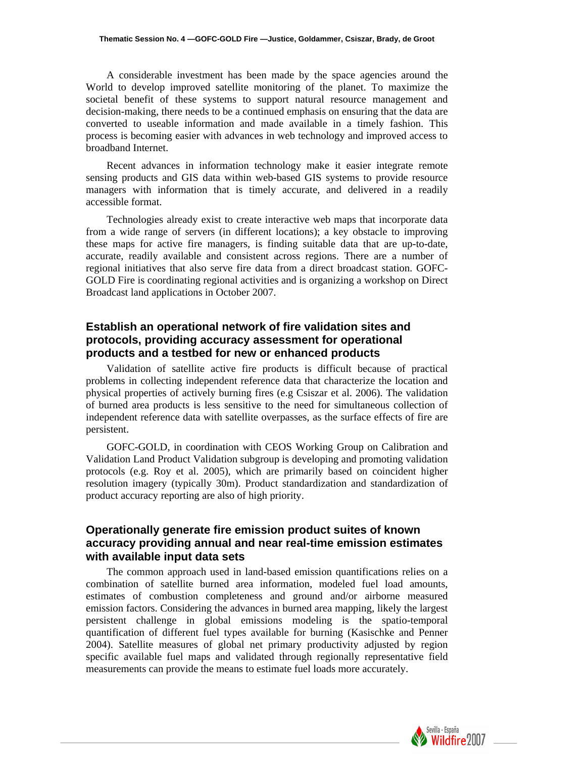A considerable investment has been made by the space agencies around the World to develop improved satellite monitoring of the planet. To maximize the societal benefit of these systems to support natural resource management and decision-making, there needs to be a continued emphasis on ensuring that the data are converted to useable information and made available in a timely fashion. This process is becoming easier with advances in web technology and improved access to broadband Internet.

Recent advances in information technology make it easier integrate remote sensing products and GIS data within web-based GIS systems to provide resource managers with information that is timely accurate, and delivered in a readily accessible format.

Technologies already exist to create interactive web maps that incorporate data from a wide range of servers (in different locations); a key obstacle to improving these maps for active fire managers, is finding suitable data that are up-to-date, accurate, readily available and consistent across regions. There are a number of regional initiatives that also serve fire data from a direct broadcast station. GOFC-GOLD Fire is coordinating regional activities and is organizing a workshop on Direct Broadcast land applications in October 2007.

#### **Establish an operational network of fire validation sites and protocols, providing accuracy assessment for operational products and a testbed for new or enhanced products**

Validation of satellite active fire products is difficult because of practical problems in collecting independent reference data that characterize the location and physical properties of actively burning fires (e.g Csiszar et al. 2006). The validation of burned area products is less sensitive to the need for simultaneous collection of independent reference data with satellite overpasses, as the surface effects of fire are persistent.

GOFC-GOLD, in coordination with CEOS Working Group on Calibration and Validation Land Product Validation subgroup is developing and promoting validation protocols (e.g. Roy et al. 2005), which are primarily based on coincident higher resolution imagery (typically 30m). Product standardization and standardization of product accuracy reporting are also of high priority.

#### **Operationally generate fire emission product suites of known accuracy providing annual and near real-time emission estimates with available input data sets**

The common approach used in land-based emission quantifications relies on a combination of satellite burned area information, modeled fuel load amounts, estimates of combustion completeness and ground and/or airborne measured emission factors. Considering the advances in burned area mapping, likely the largest persistent challenge in global emissions modeling is the spatio-temporal quantification of different fuel types available for burning (Kasischke and Penner 2004). Satellite measures of global net primary productivity adjusted by region specific available fuel maps and validated through regionally representative field measurements can provide the means to estimate fuel loads more accurately.

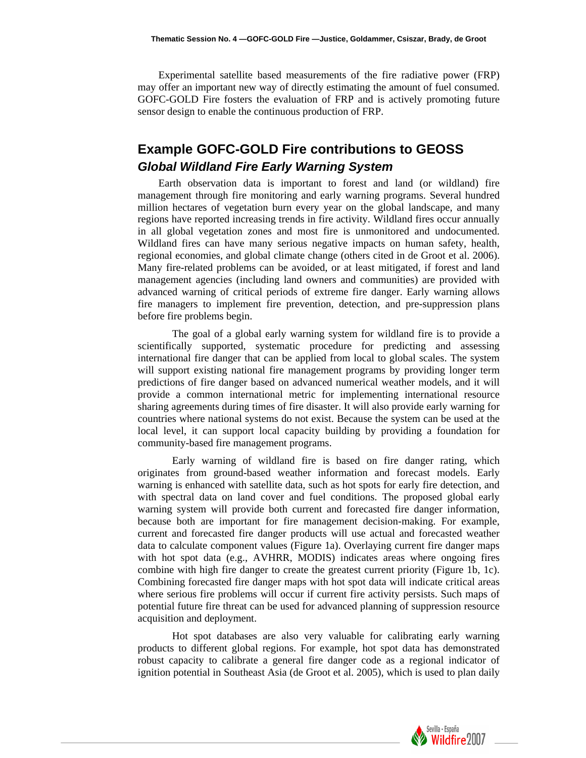Experimental satellite based measurements of the fire radiative power (FRP) may offer an important new way of directly estimating the amount of fuel consumed. GOFC-GOLD Fire fosters the evaluation of FRP and is actively promoting future sensor design to enable the continuous production of FRP.

# **Example GOFC-GOLD Fire contributions to GEOSS**  *Global Wildland Fire Early Warning System*

Earth observation data is important to forest and land (or wildland) fire management through fire monitoring and early warning programs. Several hundred million hectares of vegetation burn every year on the global landscape, and many regions have reported increasing trends in fire activity. Wildland fires occur annually in all global vegetation zones and most fire is unmonitored and undocumented. Wildland fires can have many serious negative impacts on human safety, health, regional economies, and global climate change (others cited in de Groot et al. 2006). Many fire-related problems can be avoided, or at least mitigated, if forest and land management agencies (including land owners and communities) are provided with advanced warning of critical periods of extreme fire danger. Early warning allows fire managers to implement fire prevention, detection, and pre-suppression plans before fire problems begin.

 The goal of a global early warning system for wildland fire is to provide a scientifically supported, systematic procedure for predicting and assessing international fire danger that can be applied from local to global scales. The system will support existing national fire management programs by providing longer term predictions of fire danger based on advanced numerical weather models, and it will provide a common international metric for implementing international resource sharing agreements during times of fire disaster. It will also provide early warning for countries where national systems do not exist. Because the system can be used at the local level, it can support local capacity building by providing a foundation for community-based fire management programs.

 Early warning of wildland fire is based on fire danger rating, which originates from ground-based weather information and forecast models. Early warning is enhanced with satellite data, such as hot spots for early fire detection, and with spectral data on land cover and fuel conditions. The proposed global early warning system will provide both current and forecasted fire danger information, because both are important for fire management decision-making. For example, current and forecasted fire danger products will use actual and forecasted weather data to calculate component values (Figure 1a). Overlaying current fire danger maps with hot spot data (e.g., AVHRR, MODIS) indicates areas where ongoing fires combine with high fire danger to create the greatest current priority (Figure 1b, 1c). Combining forecasted fire danger maps with hot spot data will indicate critical areas where serious fire problems will occur if current fire activity persists. Such maps of potential future fire threat can be used for advanced planning of suppression resource acquisition and deployment.

 Hot spot databases are also very valuable for calibrating early warning products to different global regions. For example, hot spot data has demonstrated robust capacity to calibrate a general fire danger code as a regional indicator of ignition potential in Southeast Asia (de Groot et al. 2005), which is used to plan daily

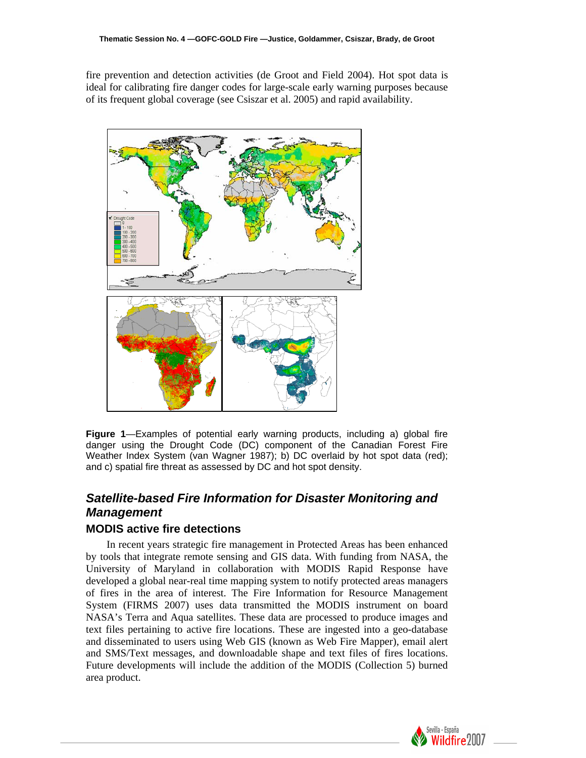fire prevention and detection activities (de Groot and Field 2004). Hot spot data is ideal for calibrating fire danger codes for large-scale early warning purposes because of its frequent global coverage (see Csiszar et al. 2005) and rapid availability.



**Figure 1**—Examples of potential early warning products, including a) global fire danger using the Drought Code (DC) component of the Canadian Forest Fire Weather Index System (van Wagner 1987); b) DC overlaid by hot spot data (red); and c) spatial fire threat as assessed by DC and hot spot density.

# *Satellite-based Fire Information for Disaster Monitoring and Management*

#### **MODIS active fire detections**

In recent years strategic fire management in Protected Areas has been enhanced by tools that integrate remote sensing and GIS data. With funding from NASA, the University of Maryland in collaboration with MODIS Rapid Response have developed a global near-real time mapping system to notify protected areas managers of fires in the area of interest. The Fire Information for Resource Management System (FIRMS 2007) uses data transmitted the MODIS instrument on board NASA's Terra and Aqua satellites. These data are processed to produce images and text files pertaining to active fire locations. These are ingested into a geo-database and disseminated to users using Web GIS (known as Web Fire Mapper), email alert and SMS/Text messages, and downloadable shape and text files of fires locations. Future developments will include the addition of the MODIS (Collection 5) burned area product.

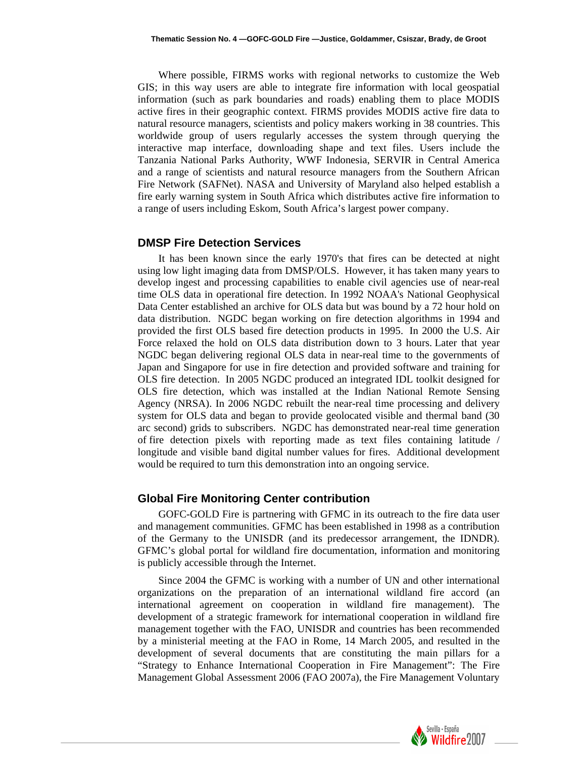Where possible, FIRMS works with regional networks to customize the Web GIS; in this way users are able to integrate fire information with local geospatial information (such as park boundaries and roads) enabling them to place MODIS active fires in their geographic context. FIRMS provides MODIS active fire data to natural resource managers, scientists and policy makers working in 38 countries. This worldwide group of users regularly accesses the system through querying the interactive map interface, downloading shape and text files. Users include the Tanzania National Parks Authority, WWF Indonesia, SERVIR in Central America and a range of scientists and natural resource managers from the Southern African Fire Network (SAFNet). NASA and University of Maryland also helped establish a fire early warning system in South Africa which distributes active fire information to a range of users including Eskom, South Africa's largest power company.

#### **DMSP Fire Detection Services**

It has been known since the early 1970's that fires can be detected at night using low light imaging data from DMSP/OLS. However, it has taken many years to develop ingest and processing capabilities to enable civil agencies use of near-real time OLS data in operational fire detection. In 1992 NOAA's National Geophysical Data Center established an archive for OLS data but was bound by a 72 hour hold on data distribution. NGDC began working on fire detection algorithms in 1994 and provided the first OLS based fire detection products in 1995. In 2000 the U.S. Air Force relaxed the hold on OLS data distribution down to 3 hours. Later that year NGDC began delivering regional OLS data in near-real time to the governments of Japan and Singapore for use in fire detection and provided software and training for OLS fire detection. In 2005 NGDC produced an integrated IDL toolkit designed for OLS fire detection, which was installed at the Indian National Remote Sensing Agency (NRSA). In 2006 NGDC rebuilt the near-real time processing and delivery system for OLS data and began to provide geolocated visible and thermal band (30 arc second) grids to subscribers. NGDC has demonstrated near-real time generation of fire detection pixels with reporting made as text files containing latitude / longitude and visible band digital number values for fires. Additional development would be required to turn this demonstration into an ongoing service.

#### **Global Fire Monitoring Center contribution**

GOFC-GOLD Fire is partnering with GFMC in its outreach to the fire data user and management communities. GFMC has been established in 1998 as a contribution of the Germany to the UNISDR (and its predecessor arrangement, the IDNDR). GFMC's global portal for wildland fire documentation, information and monitoring is publicly accessible through the Internet.

Since 2004 the GFMC is working with a number of UN and other international organizations on the preparation of an international wildland fire accord (an international agreement on cooperation in wildland fire management). The development of a strategic framework for international cooperation in wildland fire management together with the FAO, UNISDR and countries has been recommended by a ministerial meeting at the FAO in Rome, 14 March 2005, and resulted in the development of several documents that are constituting the main pillars for a "Strategy to Enhance International Cooperation in Fire Management": The Fire Management Global Assessment 2006 (FAO 2007a), the Fire Management Voluntary

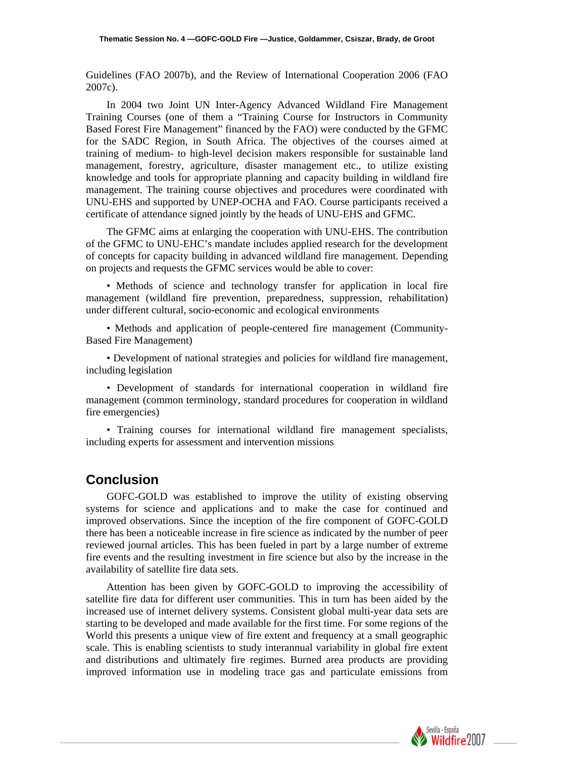Guidelines (FAO 2007b), and the Review of International Cooperation 2006 (FAO 2007c).

In 2004 two Joint UN Inter-Agency Advanced Wildland Fire Management Training Courses (one of them a "Training Course for Instructors in Community Based Forest Fire Management" financed by the FAO) were conducted by the GFMC for the SADC Region, in South Africa. The objectives of the courses aimed at training of medium- to high-level decision makers responsible for sustainable land management, forestry, agriculture, disaster management etc., to utilize existing knowledge and tools for appropriate planning and capacity building in wildland fire management. The training course objectives and procedures were coordinated with UNU-EHS and supported by UNEP-OCHA and FAO. Course participants received a certificate of attendance signed jointly by the heads of UNU-EHS and GFMC.

The GFMC aims at enlarging the cooperation with UNU-EHS. The contribution of the GFMC to UNU-EHC's mandate includes applied research for the development of concepts for capacity building in advanced wildland fire management. Depending on projects and requests the GFMC services would be able to cover:

• Methods of science and technology transfer for application in local fire management (wildland fire prevention, preparedness, suppression, rehabilitation) under different cultural, socio-economic and ecological environments

• Methods and application of people-centered fire management (Community-Based Fire Management)

• Development of national strategies and policies for wildland fire management, including legislation

• Development of standards for international cooperation in wildland fire management (common terminology, standard procedures for cooperation in wildland fire emergencies)

• Training courses for international wildland fire management specialists, including experts for assessment and intervention missions

### **Conclusion**

GOFC-GOLD was established to improve the utility of existing observing systems for science and applications and to make the case for continued and improved observations. Since the inception of the fire component of GOFC-GOLD there has been a noticeable increase in fire science as indicated by the number of peer reviewed journal articles. This has been fueled in part by a large number of extreme fire events and the resulting investment in fire science but also by the increase in the availability of satellite fire data sets.

Attention has been given by GOFC-GOLD to improving the accessibility of satellite fire data for different user communities. This in turn has been aided by the increased use of internet delivery systems. Consistent global multi-year data sets are starting to be developed and made available for the first time. For some regions of the World this presents a unique view of fire extent and frequency at a small geographic scale. This is enabling scientists to study interannual variability in global fire extent and distributions and ultimately fire regimes. Burned area products are providing improved information use in modeling trace gas and particulate emissions from

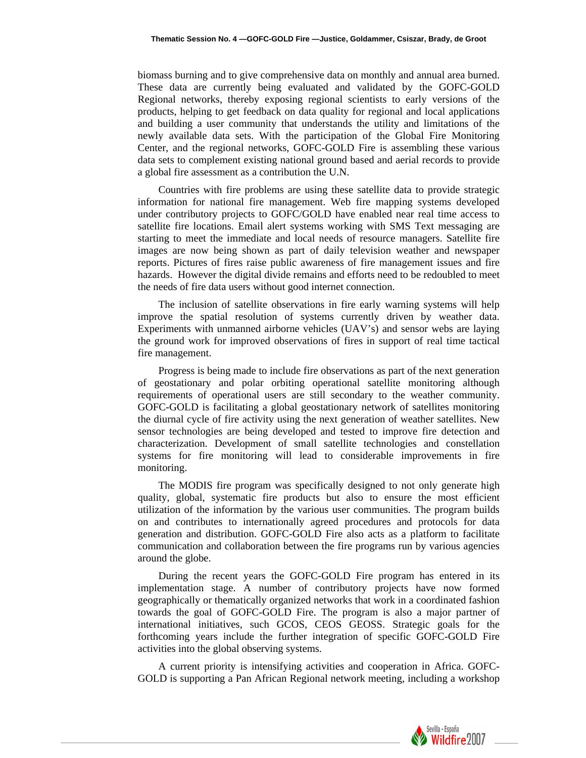biomass burning and to give comprehensive data on monthly and annual area burned. These data are currently being evaluated and validated by the GOFC-GOLD Regional networks, thereby exposing regional scientists to early versions of the products, helping to get feedback on data quality for regional and local applications and building a user community that understands the utility and limitations of the newly available data sets. With the participation of the Global Fire Monitoring Center, and the regional networks, GOFC-GOLD Fire is assembling these various data sets to complement existing national ground based and aerial records to provide a global fire assessment as a contribution the U.N.

Countries with fire problems are using these satellite data to provide strategic information for national fire management. Web fire mapping systems developed under contributory projects to GOFC/GOLD have enabled near real time access to satellite fire locations. Email alert systems working with SMS Text messaging are starting to meet the immediate and local needs of resource managers. Satellite fire images are now being shown as part of daily television weather and newspaper reports. Pictures of fires raise public awareness of fire management issues and fire hazards. However the digital divide remains and efforts need to be redoubled to meet the needs of fire data users without good internet connection.

The inclusion of satellite observations in fire early warning systems will help improve the spatial resolution of systems currently driven by weather data. Experiments with unmanned airborne vehicles (UAV's) and sensor webs are laying the ground work for improved observations of fires in support of real time tactical fire management.

Progress is being made to include fire observations as part of the next generation of geostationary and polar orbiting operational satellite monitoring although requirements of operational users are still secondary to the weather community. GOFC-GOLD is facilitating a global geostationary network of satellites monitoring the diurnal cycle of fire activity using the next generation of weather satellites. New sensor technologies are being developed and tested to improve fire detection and characterization. Development of small satellite technologies and constellation systems for fire monitoring will lead to considerable improvements in fire monitoring.

The MODIS fire program was specifically designed to not only generate high quality, global, systematic fire products but also to ensure the most efficient utilization of the information by the various user communities. The program builds on and contributes to internationally agreed procedures and protocols for data generation and distribution. GOFC-GOLD Fire also acts as a platform to facilitate communication and collaboration between the fire programs run by various agencies around the globe.

During the recent years the GOFC-GOLD Fire program has entered in its implementation stage. A number of contributory projects have now formed geographically or thematically organized networks that work in a coordinated fashion towards the goal of GOFC-GOLD Fire. The program is also a major partner of international initiatives, such GCOS, CEOS GEOSS. Strategic goals for the forthcoming years include the further integration of specific GOFC-GOLD Fire activities into the global observing systems.

A current priority is intensifying activities and cooperation in Africa. GOFC-GOLD is supporting a Pan African Regional network meeting, including a workshop

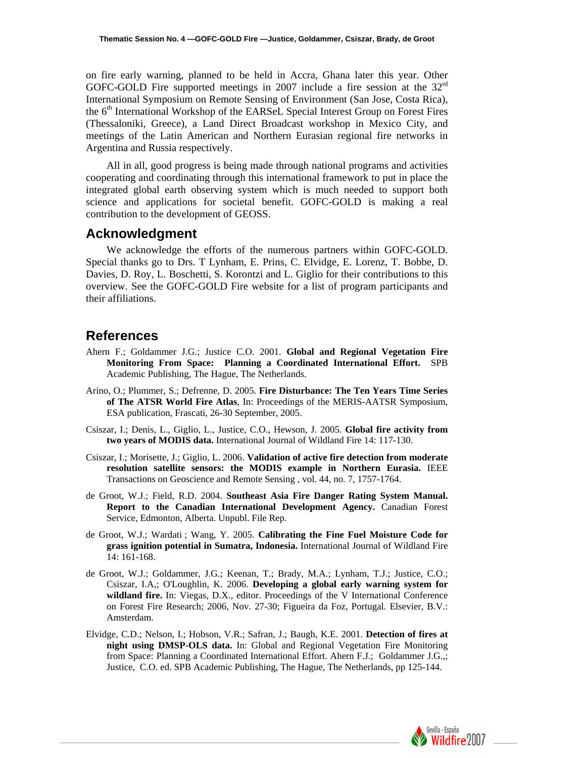on fire early warning, planned to be held in Accra, Ghana later this year. Other GOFC-GOLD Fire supported meetings in 2007 include a fire session at the  $32<sup>rd</sup>$ International Symposium on Remote Sensing of Environment (San Jose, Costa Rica), the 6<sup>th</sup> International Workshop of the EARSeL Special Interest Group on Forest Fires (Thessaloniki, Greece), a Land Direct Broadcast workshop in Mexico City, and meetings of the Latin American and Northern Eurasian regional fire networks in Argentina and Russia respectively.

All in all, good progress is being made through national programs and activities cooperating and coordinating through this international framework to put in place the integrated global earth observing system which is much needed to support both science and applications for societal benefit. GOFC-GOLD is making a real contribution to the development of GEOSS.

#### **Acknowledgment**

We acknowledge the efforts of the numerous partners within GOFC-GOLD. Special thanks go to Drs. T Lynham, E. Prins, C. Elvidge, E. Lorenz, T. Bobbe, D. Davies, D. Roy, L. Boschetti, S. Korontzi and L. Giglio for their contributions to this overview. See the GOFC-GOLD Fire website for a list of program participants and their affiliations.

### **References**

- Ahern F.; Goldammer J.G.; Justice C.O. 2001. **Global and Regional Vegetation Fire Monitoring From Space: Planning a Coordinated International Effort.** SPB Academic Publishing, The Hague, The Netherlands.
- Arino, O.; Plummer, S.; Defrenne, D. 2005. **Fire Disturbance: The Ten Years Time Series of The ATSR World Fire Atlas**, In: Proceedings of the MERIS-AATSR Symposium, ESA publication, Frascati, 26-30 September, 2005.
- Csiszar, I.; Denis, L., Giglio, L., Justice, C.O., Hewson, J. 2005. **Global fire activity from two years of MODIS data.** International Journal of Wildland Fire 14: 117-130.
- Csiszar, I.; Morisette, J.; Giglio, L. 2006. **Validation of active fire detection from moderate resolution satellite sensors: the MODIS example in Northern Eurasia.** IEEE Transactions on Geoscience and Remote Sensing , vol. 44, no. 7, 1757-1764.
- de Groot, W.J.; Field, R.D. 2004. **Southeast Asia Fire Danger Rating System Manual. Report to the Canadian International Development Agency.** Canadian Forest Service, Edmonton, Alberta. Unpubl. File Rep.
- de Groot, W.J.; Wardati ; Wang, Y. 2005. **Calibrating the Fine Fuel Moisture Code for grass ignition potential in Sumatra, Indonesia.** International Journal of Wildland Fire 14: 161-168.
- de Groot, W.J.; Goldammer, J.G.; Keenan, T.; Brady, M.A.; Lynham, T.J.; Justice, C.O.; Csiszar, I.A,; O'Loughlin, K. 2006. **Developing a global early warning system for wildland fire.** In: Viegas, D.X., editor. Proceedings of the V International Conference on Forest Fire Research; 2006, Nov. 27-30; Figueira da Foz, Portugal. Elsevier, B.V.: Amsterdam.
- Elvidge, C.D.; Nelson, I.; Hobson, V.R.; Safran, J.; Baugh, K.E. 2001. **Detection of fires at night using DMSP-OLS data.** In: Global and Regional Vegetation Fire Monitoring from Space: Planning a Coordinated International Effort. Ahern F.J.; Goldammer J.G.,; Justice, C.O. ed. SPB Academic Publishing, The Hague, The Netherlands, pp 125-144.